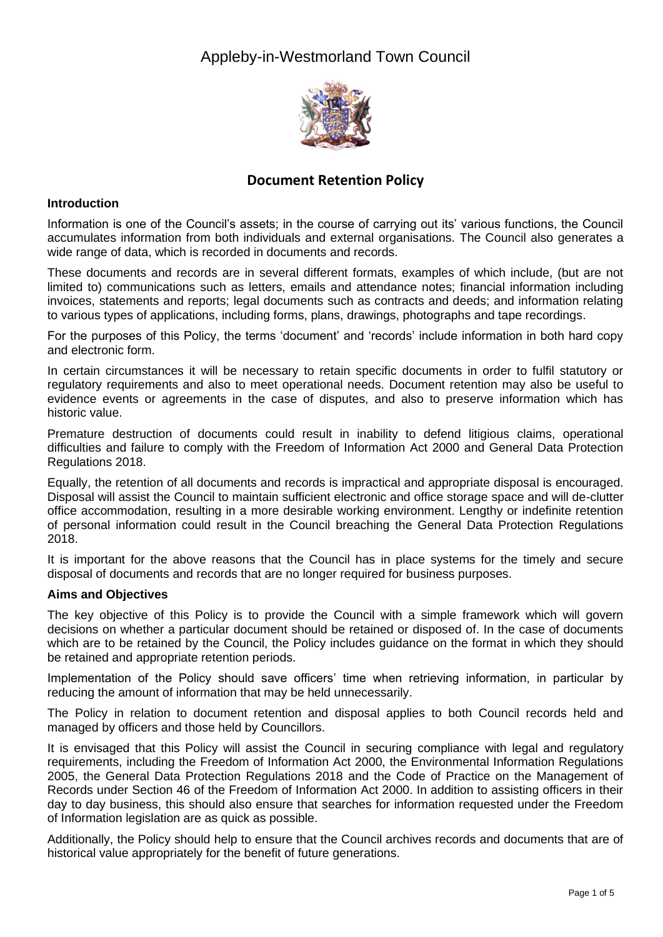## Appleby-in-Westmorland Town Council



## **Document Retention Policy**

#### **Introduction**

Information is one of the Council's assets; in the course of carrying out its' various functions, the Council accumulates information from both individuals and external organisations. The Council also generates a wide range of data, which is recorded in documents and records.

These documents and records are in several different formats, examples of which include, (but are not limited to) communications such as letters, emails and attendance notes; financial information including invoices, statements and reports; legal documents such as contracts and deeds; and information relating to various types of applications, including forms, plans, drawings, photographs and tape recordings.

For the purposes of this Policy, the terms 'document' and 'records' include information in both hard copy and electronic form.

In certain circumstances it will be necessary to retain specific documents in order to fulfil statutory or regulatory requirements and also to meet operational needs. Document retention may also be useful to evidence events or agreements in the case of disputes, and also to preserve information which has historic value.

Premature destruction of documents could result in inability to defend litigious claims, operational difficulties and failure to comply with the Freedom of Information Act 2000 and General Data Protection Regulations 2018.

Equally, the retention of all documents and records is impractical and appropriate disposal is encouraged. Disposal will assist the Council to maintain sufficient electronic and office storage space and will de-clutter office accommodation, resulting in a more desirable working environment. Lengthy or indefinite retention of personal information could result in the Council breaching the General Data Protection Regulations 2018.

It is important for the above reasons that the Council has in place systems for the timely and secure disposal of documents and records that are no longer required for business purposes.

#### **Aims and Objectives**

The key objective of this Policy is to provide the Council with a simple framework which will govern decisions on whether a particular document should be retained or disposed of. In the case of documents which are to be retained by the Council, the Policy includes guidance on the format in which they should be retained and appropriate retention periods.

Implementation of the Policy should save officers' time when retrieving information, in particular by reducing the amount of information that may be held unnecessarily.

The Policy in relation to document retention and disposal applies to both Council records held and managed by officers and those held by Councillors.

It is envisaged that this Policy will assist the Council in securing compliance with legal and regulatory requirements, including the Freedom of Information Act 2000, the Environmental Information Regulations 2005, the General Data Protection Regulations 2018 and the Code of Practice on the Management of Records under Section 46 of the Freedom of Information Act 2000. In addition to assisting officers in their day to day business, this should also ensure that searches for information requested under the Freedom of Information legislation are as quick as possible.

Additionally, the Policy should help to ensure that the Council archives records and documents that are of historical value appropriately for the benefit of future generations.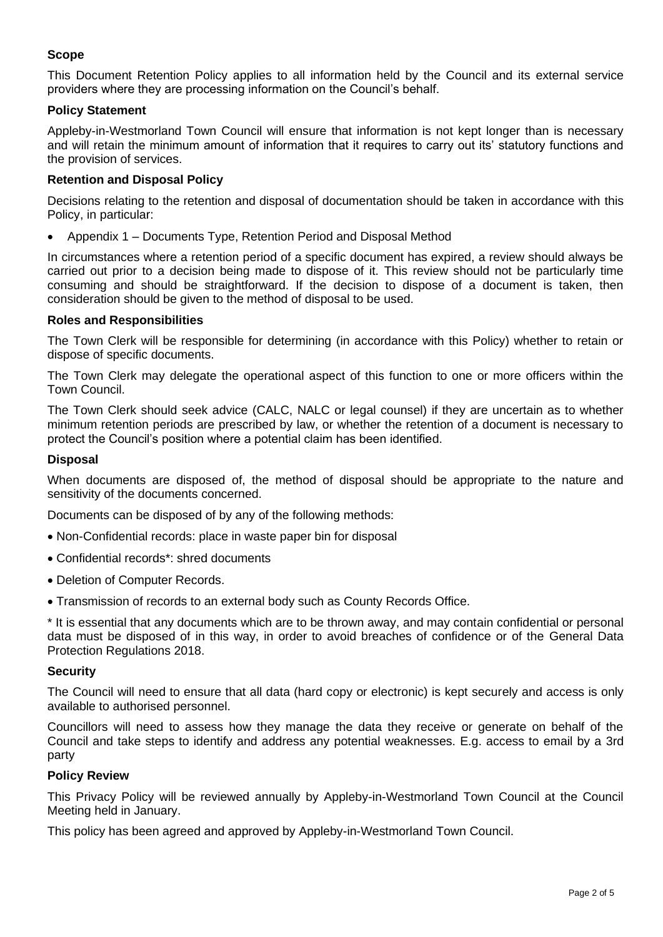### **Scope**

This Document Retention Policy applies to all information held by the Council and its external service providers where they are processing information on the Council's behalf.

#### **Policy Statement**

Appleby-in-Westmorland Town Council will ensure that information is not kept longer than is necessary and will retain the minimum amount of information that it requires to carry out its' statutory functions and the provision of services.

#### **Retention and Disposal Policy**

Decisions relating to the retention and disposal of documentation should be taken in accordance with this Policy, in particular:

• Appendix 1 – Documents Type, Retention Period and Disposal Method

In circumstances where a retention period of a specific document has expired, a review should always be carried out prior to a decision being made to dispose of it. This review should not be particularly time consuming and should be straightforward. If the decision to dispose of a document is taken, then consideration should be given to the method of disposal to be used.

#### **Roles and Responsibilities**

The Town Clerk will be responsible for determining (in accordance with this Policy) whether to retain or dispose of specific documents.

The Town Clerk may delegate the operational aspect of this function to one or more officers within the Town Council.

The Town Clerk should seek advice (CALC, NALC or legal counsel) if they are uncertain as to whether minimum retention periods are prescribed by law, or whether the retention of a document is necessary to protect the Council's position where a potential claim has been identified.

#### **Disposal**

When documents are disposed of, the method of disposal should be appropriate to the nature and sensitivity of the documents concerned.

Documents can be disposed of by any of the following methods:

- Non-Confidential records: place in waste paper bin for disposal
- Confidential records\*: shred documents
- Deletion of Computer Records.
- Transmission of records to an external body such as County Records Office.

\* It is essential that any documents which are to be thrown away, and may contain confidential or personal data must be disposed of in this way, in order to avoid breaches of confidence or of the General Data Protection Regulations 2018.

#### **Security**

The Council will need to ensure that all data (hard copy or electronic) is kept securely and access is only available to authorised personnel.

Councillors will need to assess how they manage the data they receive or generate on behalf of the Council and take steps to identify and address any potential weaknesses. E.g. access to email by a 3rd party

#### **Policy Review**

This Privacy Policy will be reviewed annually by Appleby-in-Westmorland Town Council at the Council Meeting held in January.

This policy has been agreed and approved by Appleby-in-Westmorland Town Council.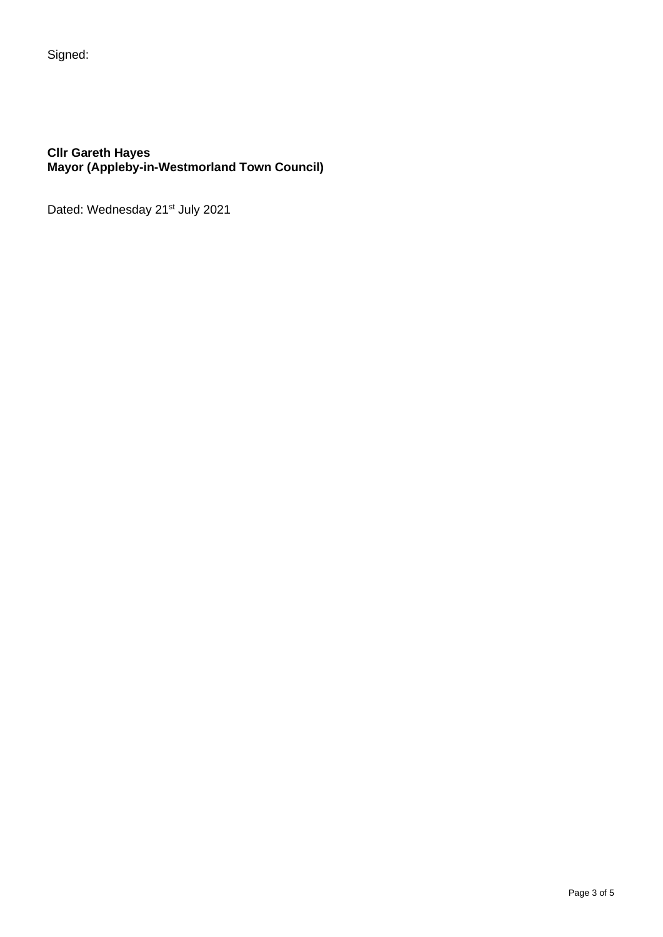Signed:

#### **Cllr Gareth Hayes Mayor (Appleby-in-Westmorland Town Council)**

Dated: Wednesday 21<sup>st</sup> July 2021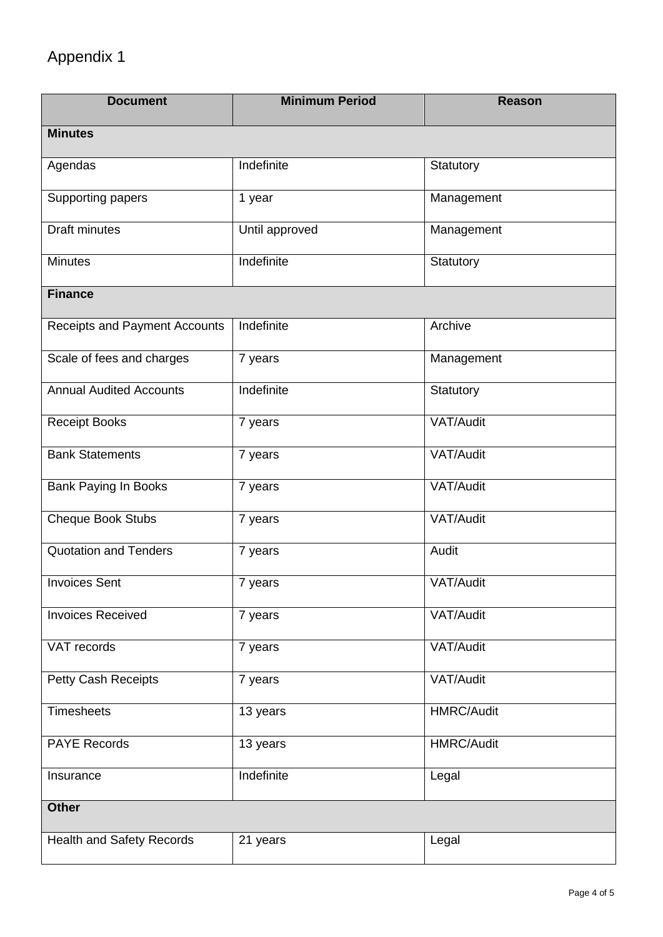# Appendix 1

| <b>Document</b>                      | <b>Minimum Period</b> | <b>Reason</b>     |  |
|--------------------------------------|-----------------------|-------------------|--|
| <b>Minutes</b>                       |                       |                   |  |
| Agendas                              | Indefinite            | Statutory         |  |
| Supporting papers                    | 1 year                | Management        |  |
| <b>Draft minutes</b>                 | Until approved        | Management        |  |
| <b>Minutes</b>                       | Indefinite            | Statutory         |  |
| <b>Finance</b>                       |                       |                   |  |
| <b>Receipts and Payment Accounts</b> | Indefinite            | Archive           |  |
| Scale of fees and charges            | 7 years               | Management        |  |
| <b>Annual Audited Accounts</b>       | Indefinite            | Statutory         |  |
| <b>Receipt Books</b>                 | 7 years               | VAT/Audit         |  |
| <b>Bank Statements</b>               | 7 years               | VAT/Audit         |  |
| <b>Bank Paying In Books</b>          | 7 years               | VAT/Audit         |  |
| Cheque Book Stubs                    | 7 years               | VAT/Audit         |  |
| <b>Quotation and Tenders</b>         | 7 years               | Audit             |  |
| <b>Invoices Sent</b>                 | 7 years               | VAT/Audit         |  |
| <b>Invoices Received</b>             | 7 years               | VAT/Audit         |  |
| VAT records                          | 7 years               | VAT/Audit         |  |
| Petty Cash Receipts                  | 7 years               | VAT/Audit         |  |
| <b>Timesheets</b>                    | 13 years              | <b>HMRC/Audit</b> |  |
| <b>PAYE Records</b>                  | 13 years              | <b>HMRC/Audit</b> |  |
| Insurance                            | Indefinite            | Legal             |  |
| <b>Other</b>                         |                       |                   |  |
| <b>Health and Safety Records</b>     | 21 years              | Legal             |  |